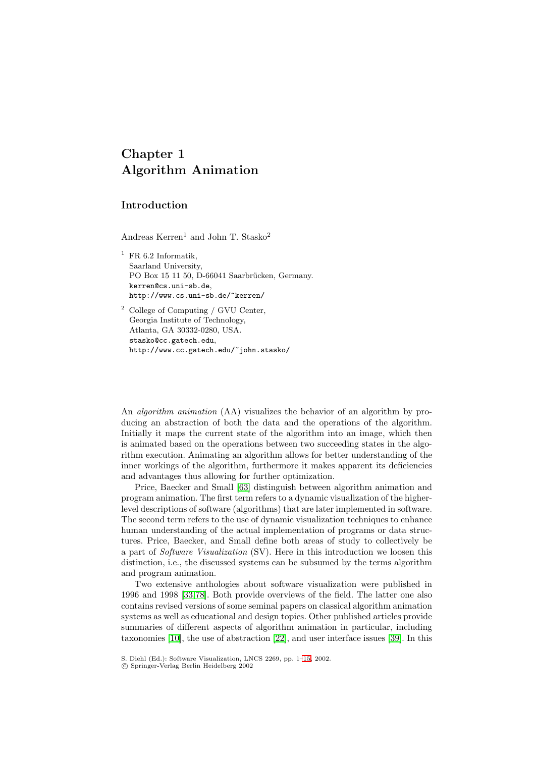# **Chapter 1 Algorithm Animation**

# **Introduction**

Andreas  $\mathrm{Kerren^1}$  and John T.  $\mathrm{Stasko^2}$ 

<sup>1</sup> FR 6.2 Informatik, Saarland University, PO Box 15 11 50, D-66041 Saarbrücken, Germany. kerren@cs.uni-sb.de, http://www.cs.uni-sb.de/˜kerren/

<sup>2</sup> College of Computing / GVU Center, Georgia Institute of Technology, Atlanta, GA 30332-0280, USA. stasko@cc.gatech.edu, http://www.cc.gatech.edu/˜john.stasko/

An *algorithm animation* (AA) visualizes the behavior of an algorithm by producing an abstraction of both the data and the operations of the algorithm. Initially it maps the current state of the algorithm into an image, which then is animated based on the operations between two succeeding states in the algorithm execution. Animating an algorithm allows for better understanding of the inner workings of the algorithm, furthermore it makes apparent its deficiencies and advantages thus allowing for further optimization.

Price, Baecker and Small [\[63\]](#page-12-0) distinguish between algorithm animation and program animation. The first term refers to a dynamic visualization of the higherlevel descriptions of software (algorithms) that are later implemented in software. The second term refers to the use of dynamic visualization techniques to enhance human understanding of the actual implementation of programs or data structures. Price, Baecker, and Small define both areas of study to collectively be a part of Software Visualization (SV). Here in this introduction we loosen this distinction, i.e., the discussed systems can be subsumed by the terms algorithm and program animation.

Two extensive anthologies about software visualization were published in 1996 and 1998 [\[33,](#page-11-0)[78\]](#page-13-0). Both provide overviews of the field. The latter one also contains revised versions of some seminal papers on classical algorithm animation systems as well as educational and design topics. Other published articles provide summaries of different aspects of algorithm animation in particular, including taxonomies [\[10\]](#page-9-0), the use of abstraction [\[22\]](#page-10-0), and user interface issues [\[39\]](#page-11-0). In this

c Springer-Verlag Berlin Heidelberg 2002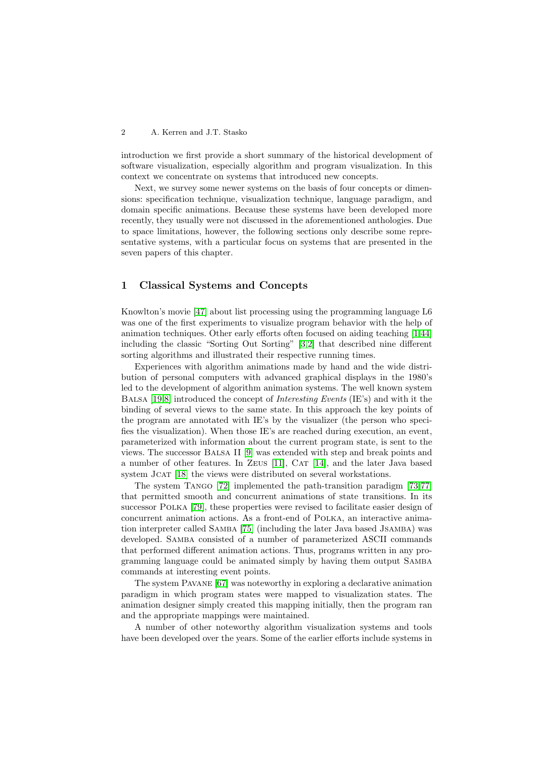introduction we first provide a short summary of the historical development of software visualization, especially algorithm and program visualization. In this context we concentrate on systems that introduced new concepts.

Next, we survey some newer systems on the basis of four concepts or dimensions: specification technique, visualization technique, language paradigm, and domain specific animations. Because these systems have been developed more recently, they usually were not discussed in the aforementioned anthologies. Due to space limitations, however, the following sections only describe some representative systems, with a particular focus on systems that are presented in the seven papers of this chapter.

#### **1 Classical Systems and Concepts**

Knowlton's movie [\[47\]](#page-11-0) about list processing using the programming language L6 was one of the first experiments to visualize program behavior with the help of animation techniques. Other early efforts often focused on aiding teaching [\[1](#page-9-0)[,44\]](#page-11-0) including the classic "Sorting Out Sorting" [\[3,2\]](#page-9-0) that described nine different sorting algorithms and illustrated their respective running times.

Experiences with algorithm animations made by hand and the wide distribution of personal computers with advanced graphical displays in the 1980's led to the development of algorithm animation systems. The well known system BALSA [\[19,](#page-10-0)[8\]](#page-9-0) introduced the concept of *Interesting Events* (IE's) and with it the binding of several views to the same state. In this approach the key points of the program are annotated with IE's by the visualizer (the person who specifies the visualization). When those IE's are reached during execution, an event, parameterized with information about the current program state, is sent to the views. The successor Balsa II [\[9\]](#page-9-0) was extended with step and break points and a number of other features. In ZEUS [\[11\]](#page-9-0), CAT [\[14\]](#page-9-0), and the later Java based system Jcat [\[18\]](#page-10-0) the views were distributed on several workstations.

The system Tango [\[72\]](#page-13-0) implemented the path-transition paradigm [\[73,77\]](#page-13-0) that permitted smooth and concurrent animations of state transitions. In its successor Polka [\[79\]](#page-13-0), these properties were revised to facilitate easier design of concurrent animation actions. As a front-end of Polka, an interactive animation interpreter called Samba [\[75\]](#page-13-0) (including the later Java based Jsamba) was developed. Samba consisted of a number of parameterized ASCII commands that performed different animation actions. Thus, programs written in any programming language could be animated simply by having them output Samba commands at interesting event points.

The system Pavane [\[67\]](#page-12-0) was noteworthy in exploring a declarative animation paradigm in which program states were mapped to visualization states. The animation designer simply created this mapping initially, then the program ran and the appropriate mappings were maintained.

A number of other noteworthy algorithm visualization systems and tools have been developed over the years. Some of the earlier efforts include systems in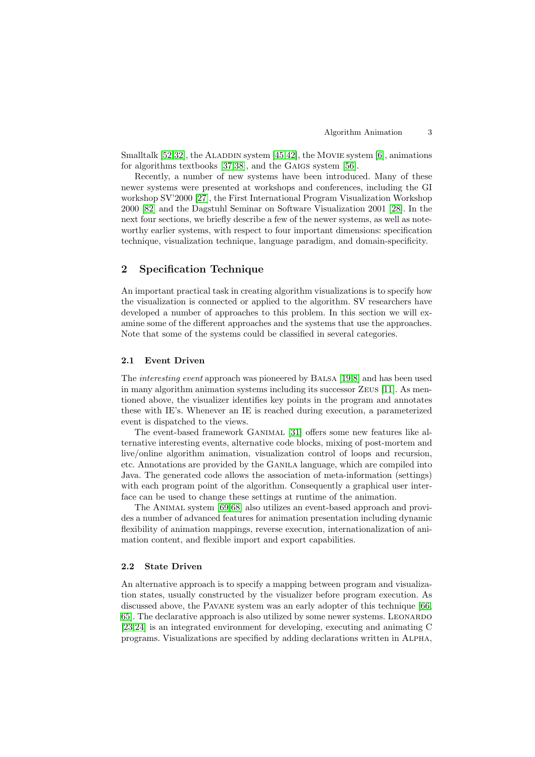Smalltalk  $[52,32]$  $[52,32]$ , the ALADDIN system  $[45,42]$ , the MOVIE system  $[6]$ , animations for algorithms textbooks [\[37,38\]](#page-11-0), and the GAIGS system [\[56\]](#page-12-0).

Recently, a number of new systems have been introduced. Many of these newer systems were presented at workshops and conferences, including the GI workshop SV'2000 [\[27\]](#page-10-0), the First International Program Visualization Workshop 2000 [\[82\]](#page-13-0) and the Dagstuhl Seminar on Software Visualization 2001 [\[28\]](#page-10-0). In the next four sections, we briefly describe a few of the newer systems, as well as noteworthy earlier systems, with respect to four important dimensions: specification technique, visualization technique, language paradigm, and domain-specificity.

## **2 Specification Technique**

An important practical task in creating algorithm visualizations is to specify how the visualization is connected or applied to the algorithm. SV researchers have developed a number of approaches to this problem. In this section we will examine some of the different approaches and the systems that use the approaches. Note that some of the systems could be classified in several categories.

#### **2.1 Event Driven**

The interesting event approach was pioneered by Balsa [\[19,](#page-10-0)[8\]](#page-9-0) and has been used in many algorithm animation systems including its successor Zeus [\[11\]](#page-9-0). As mentioned above, the visualizer identifies key points in the program and annotates these with IE's. Whenever an IE is reached during execution, a parameterized event is dispatched to the views.

The event-based framework Ganimal [\[31\]](#page-10-0) offers some new features like alternative interesting events, alternative code blocks, mixing of post-mortem and live/online algorithm animation, visualization control of loops and recursion, etc. Annotations are provided by the Ganila language, which are compiled into Java. The generated code allows the association of meta-information (settings) with each program point of the algorithm. Consequently a graphical user interface can be used to change these settings at runtime of the animation.

The Animal system [\[69,68\]](#page-13-0) also utilizes an event-based approach and provides a number of advanced features for animation presentation including dynamic flexibility of animation mappings, reverse execution, internationalization of animation content, and flexible import and export capabilities.

#### **2.2 State Driven**

An alternative approach is to specify a mapping between program and visualization states, usually constructed by the visualizer before program execution. As discussed above, the Pavane system was an early adopter of this technique [\[66,](#page-12-0) [65\]](#page-12-0). The declarative approach is also utilized by some newer systems. Leonardo [\[23,24\]](#page-10-0) is an integrated environment for developing, executing and animating C programs. Visualizations are specified by adding declarations written in Alpha,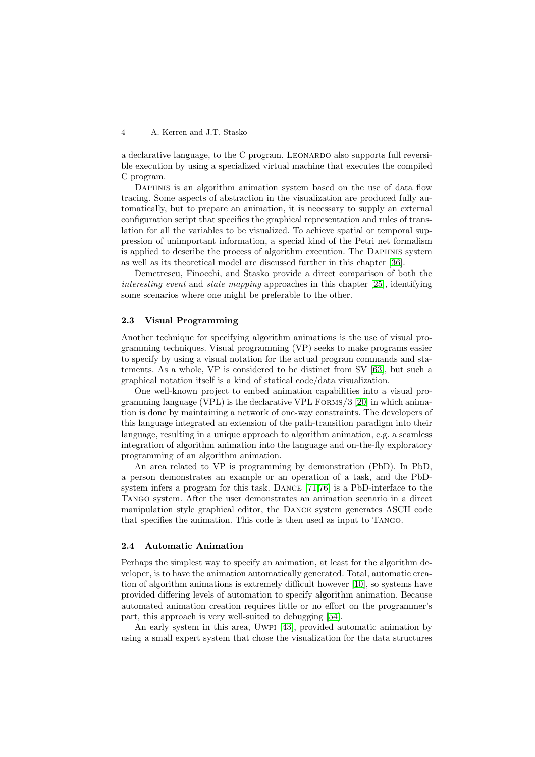a declarative language, to the C program. LEONARDO also supports full reversible execution by using a specialized virtual machine that executes the compiled C program.

DAPHNIS is an algorithm animation system based on the use of data flow tracing. Some aspects of abstraction in the visualization are produced fully automatically, but to prepare an animation, it is necessary to supply an external configuration script that specifies the graphical representation and rules of translation for all the variables to be visualized. To achieve spatial or temporal suppression of unimportant information, a special kind of the Petri net formalism is applied to describe the process of algorithm execution. The Daphnis system as well as its theoretical model are discussed further in this chapter [\[36\]](#page-11-0).

Demetrescu, Finocchi, and Stasko provide a direct comparison of both the interesting event and state mapping approaches in this chapter [\[25\]](#page-10-0), identifying some scenarios where one might be preferable to the other.

#### **2.3 Visual Programming**

Another technique for specifying algorithm animations is the use of visual programming techniques. Visual programming (VP) seeks to make programs easier to specify by using a visual notation for the actual program commands and statements. As a whole, VP is considered to be distinct from SV [\[63\]](#page-12-0), but such a graphical notation itself is a kind of statical code/data visualization.

One well-known project to embed animation capabilities into a visual programming language (VPL) is the declarative VPL Forms/3 [\[20\]](#page-10-0) in which animation is done by maintaining a network of one-way constraints. The developers of this language integrated an extension of the path-transition paradigm into their language, resulting in a unique approach to algorithm animation, e.g. a seamless integration of algorithm animation into the language and on-the-fly exploratory programming of an algorithm animation.

An area related to VP is programming by demonstration (PbD). In PbD, a person demonstrates an example or an operation of a task, and the PbDsystem infers a program for this task. Dance [\[71,76\]](#page-13-0) is a PbD-interface to the Tango system. After the user demonstrates an animation scenario in a direct manipulation style graphical editor, the Dance system generates ASCII code that specifies the animation. This code is then used as input to Tango.

#### **2.4 Automatic Animation**

Perhaps the simplest way to specify an animation, at least for the algorithm developer, is to have the animation automatically generated. Total, automatic creation of algorithm animations is extremely difficult however [\[10\]](#page-9-0), so systems have provided differing levels of automation to specify algorithm animation. Because automated animation creation requires little or no effort on the programmer's part, this approach is very well-suited to debugging [\[54\]](#page-12-0).

An early system in this area, Uwpi [\[43\]](#page-11-0), provided automatic animation by using a small expert system that chose the visualization for the data structures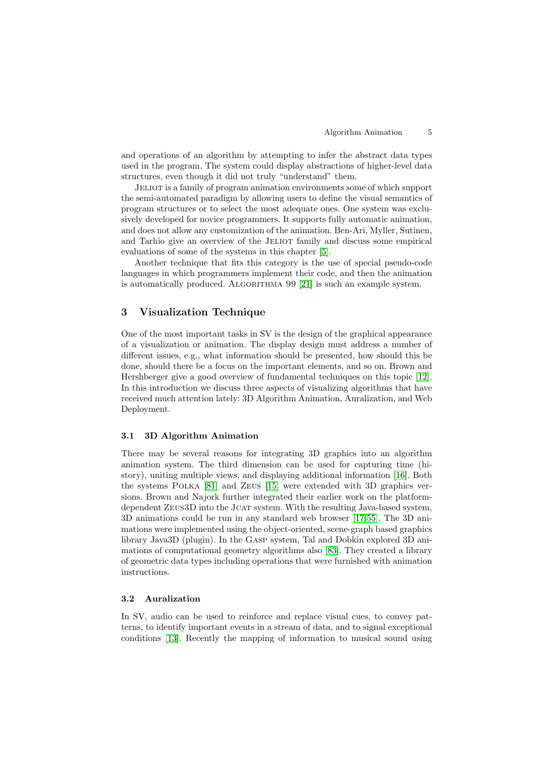and operations of an algorithm by attempting to infer the abstract data types used in the program. The system could display abstractions of higher-level data structures, even though it did not truly "understand" them.

Jeliot is a family of program animation environments some of which support the semi-automated paradigm by allowing users to define the visual semantics of program structures or to select the most adequate ones. One system was exclusively developed for novice programmers. It supports fully automatic animation, and does not allow any customization of the animation. Ben-Ari, Myller, Sutinen, and Tarhio give an overview of the JELIOT family and discuss some empirical evaluations of some of the systems in this chapter [\[5\]](#page-9-0).

Another technique that fits this category is the use of special pseudo-code languages in which programmers implement their code, and then the animation is automatically produced. ALGORITHMA 99 [\[21\]](#page-10-0) is such an example system.

## **3 Visualization Technique**

One of the most important tasks in SV is the design of the graphical appearance of a visualization or animation. The display design must address a number of different issues, e.g., what information should be presented, how should this be done, should there be a focus on the important elements, and so on. Brown and Hershberger give a good overview of fundamental techniques on this topic [\[12\]](#page-9-0). In this introduction we discuss three aspects of visualizing algorithms that have received much attention lately: 3D Algorithm Animation, Auralization, and Web Deployment.

#### **3.1 3D Algorithm Animation**

There may be several reasons for integrating 3D graphics into an algorithm animation system. The third dimension can be used for capturing time (history), uniting multiple views, and displaying additional information [\[16\]](#page-10-0). Both the systems Polka [\[81\]](#page-13-0) and Zeus [\[15\]](#page-9-0) were extended with 3D graphics versions. Brown and Najork further integrated their earlier work on the platformdependent Zeus3D into the Jcat system. With the resulting Java-based system, 3D animations could be run in any standard web browser [\[17](#page-10-0)[,55\]](#page-12-0). The 3D animations were implemented using the object-oriented, scene-graph based graphics library Java3D (plugin). In the Gasp system, Tal and Dobkin explored 3D animations of computational geometry algorithms also [\[83\]](#page-13-0). They created a library of geometric data types including operations that were furnished with animation instructions.

#### **3.2 Auralization**

In SV, audio can be used to reinforce and replace visual cues, to convey patterns, to identify important events in a stream of data, and to signal exceptional conditions [\[13\]](#page-9-0). Recently the mapping of information to musical sound using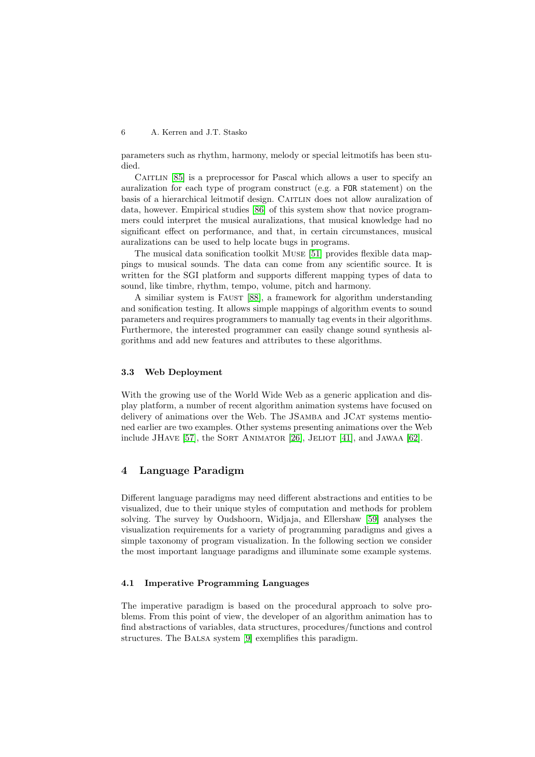parameters such as rhythm, harmony, melody or special leitmotifs has been studied.

CAITLIN [\[85\]](#page-13-0) is a preprocessor for Pascal which allows a user to specify an auralization for each type of program construct (e.g. a FOR statement) on the basis of a hierarchical leitmotif design. CAITLIN does not allow auralization of data, however. Empirical studies [\[86\]](#page-14-0) of this system show that novice programmers could interpret the musical auralizations, that musical knowledge had no significant effect on performance, and that, in certain circumstances, musical auralizations can be used to help locate bugs in programs.

The musical data sonification toolkit Muse [\[51\]](#page-12-0) provides flexible data mappings to musical sounds. The data can come from any scientific source. It is written for the SGI platform and supports different mapping types of data to sound, like timbre, rhythm, tempo, volume, pitch and harmony.

A similiar system is Faust [\[88\]](#page-14-0), a framework for algorithm understanding and sonification testing. It allows simple mappings of algorithm events to sound parameters and requires programmers to manually tag events in their algorithms. Furthermore, the interested programmer can easily change sound synthesis algorithms and add new features and attributes to these algorithms.

#### **3.3 Web Deployment**

With the growing use of the World Wide Web as a generic application and display platform, a number of recent algorithm animation systems have focused on delivery of animations over the Web. The JSAMBA and JCAT systems mentioned earlier are two examples. Other systems presenting animations over the Web include JHAVE  $[57]$ , the SORT ANIMATOR  $[26]$ , JELIOT  $[41]$ , and JAWAA  $[62]$ .

# **4 Language Paradigm**

Different language paradigms may need different abstractions and entities to be visualized, due to their unique styles of computation and methods for problem solving. The survey by Oudshoorn, Widjaja, and Ellershaw [\[59\]](#page-12-0) analyses the visualization requirements for a variety of programming paradigms and gives a simple taxonomy of program visualization. In the following section we consider the most important language paradigms and illuminate some example systems.

## **4.1 Imperative Programming Languages**

The imperative paradigm is based on the procedural approach to solve problems. From this point of view, the developer of an algorithm animation has to find abstractions of variables, data structures, procedures/functions and control structures. The Balsa system [\[9\]](#page-9-0) exemplifies this paradigm.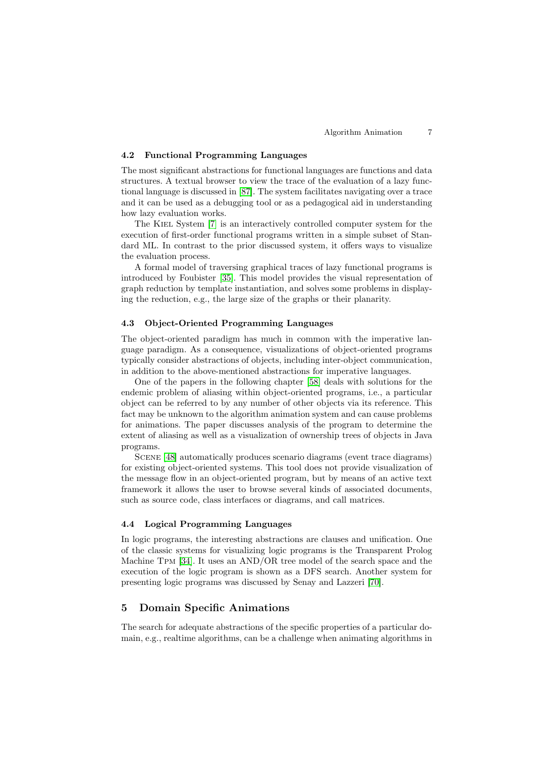#### **4.2 Functional Programming Languages**

The most significant abstractions for functional languages are functions and data structures. A textual browser to view the trace of the evaluation of a lazy functional language is discussed in [\[87\]](#page-14-0). The system facilitates navigating over a trace and it can be used as a debugging tool or as a pedagogical aid in understanding how lazy evaluation works.

The Kiel System [\[7\]](#page-9-0) is an interactively controlled computer system for the execution of first-order functional programs written in a simple subset of Standard ML. In contrast to the prior discussed system, it offers ways to visualize the evaluation process.

A formal model of traversing graphical traces of lazy functional programs is introduced by Foubister [\[35\]](#page-11-0). This model provides the visual representation of graph reduction by template instantiation, and solves some problems in displaying the reduction, e.g., the large size of the graphs or their planarity.

#### **4.3 Object-Oriented Programming Languages**

The object-oriented paradigm has much in common with the imperative language paradigm. As a consequence, visualizations of object-oriented programs typically consider abstractions of objects, including inter-object communication, in addition to the above-mentioned abstractions for imperative languages.

One of the papers in the following chapter [\[58\]](#page-12-0) deals with solutions for the endemic problem of aliasing within object-oriented programs, i.e., a particular object can be referred to by any number of other objects via its reference. This fact may be unknown to the algorithm animation system and can cause problems for animations. The paper discusses analysis of the program to determine the extent of aliasing as well as a visualization of ownership trees of objects in Java programs.

Scene [\[48\]](#page-11-0) automatically produces scenario diagrams (event trace diagrams) for existing object-oriented systems. This tool does not provide visualization of the message flow in an object-oriented program, but by means of an active text framework it allows the user to browse several kinds of associated documents, such as source code, class interfaces or diagrams, and call matrices.

#### **4.4 Logical Programming Languages**

In logic programs, the interesting abstractions are clauses and unification. One of the classic systems for visualizing logic programs is the Transparent Prolog Machine Tpm [\[34\]](#page-11-0). It uses an AND/OR tree model of the search space and the execution of the logic program is shown as a DFS search. Another system for presenting logic programs was discussed by Senay and Lazzeri [\[70\]](#page-13-0).

## **5 Domain Specific Animations**

The search for adequate abstractions of the specific properties of a particular domain, e.g., realtime algorithms, can be a challenge when animating algorithms in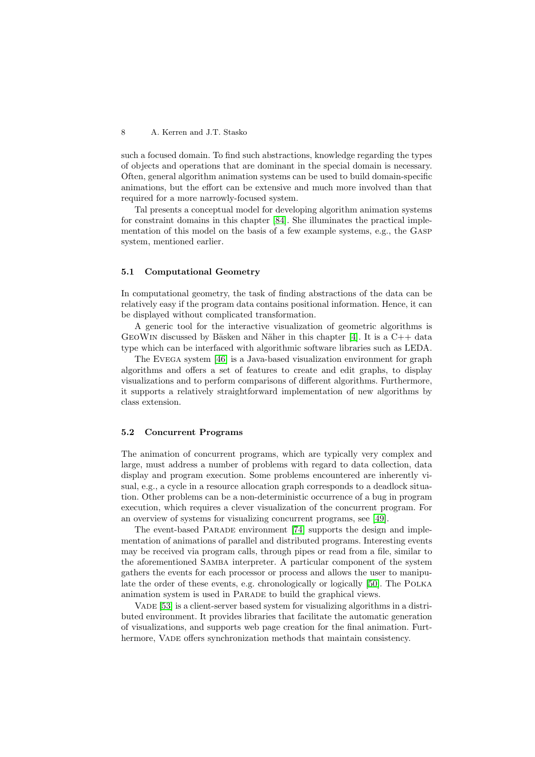such a focused domain. To find such abstractions, knowledge regarding the types of objects and operations that are dominant in the special domain is necessary. Often, general algorithm animation systems can be used to build domain-specific animations, but the effort can be extensive and much more involved than that required for a more narrowly-focused system.

Tal presents a conceptual model for developing algorithm animation systems for constraint domains in this chapter [\[84\]](#page-13-0). She illuminates the practical implementation of this model on the basis of a few example systems, e.g., the Gasp system, mentioned earlier.

#### **5.1 Computational Geometry**

In computational geometry, the task of finding abstractions of the data can be relatively easy if the program data contains positional information. Hence, it can be displayed without complicated transformation.

A generic tool for the interactive visualization of geometric algorithms is GEOWIN discussed by Bäsken and Näher in this chapter [\[4\]](#page-9-0). It is a  $C_{++}$  data type which can be interfaced with algorithmic software libraries such as LEDA.

The Evega system [\[46\]](#page-11-0) is a Java-based visualization environment for graph algorithms and offers a set of features to create and edit graphs, to display visualizations and to perform comparisons of different algorithms. Furthermore, it supports a relatively straightforward implementation of new algorithms by class extension.

#### **5.2 Concurrent Programs**

The animation of concurrent programs, which are typically very complex and large, must address a number of problems with regard to data collection, data display and program execution. Some problems encountered are inherently visual, e.g., a cycle in a resource allocation graph corresponds to a deadlock situation. Other problems can be a non-deterministic occurrence of a bug in program execution, which requires a clever visualization of the concurrent program. For an overview of systems for visualizing concurrent programs, see [\[49\]](#page-11-0).

The event-based Parade environment [\[74\]](#page-13-0) supports the design and implementation of animations of parallel and distributed programs. Interesting events may be received via program calls, through pipes or read from a file, similar to the aforementioned Samba interpreter. A particular component of the system gathers the events for each processor or process and allows the user to manipulate the order of these events, e.g. chronologically or logically [\[50\]](#page-12-0). The Polka animation system is used in Parade to build the graphical views.

VADE [\[53\]](#page-12-0) is a client-server based system for visualizing algorithms in a distributed environment. It provides libraries that facilitate the automatic generation of visualizations, and supports web page creation for the final animation. Furthermore, VADE offers synchronization methods that maintain consistency.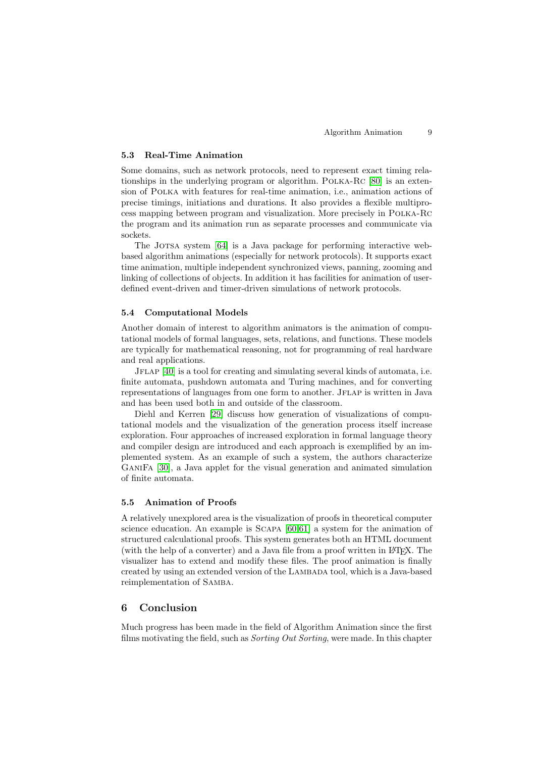#### **5.3 Real-Time Animation**

Some domains, such as network protocols, need to represent exact timing relationships in the underlying program or algorithm. Polka-Rc [\[80\]](#page-13-0) is an extension of Polka with features for real-time animation, i.e., animation actions of precise timings, initiations and durations. It also provides a flexible multiprocess mapping between program and visualization. More precisely in Polka-Rc the program and its animation run as separate processes and communicate via sockets.

The JOTSA system [\[64\]](#page-12-0) is a Java package for performing interactive webbased algorithm animations (especially for network protocols). It supports exact time animation, multiple independent synchronized views, panning, zooming and linking of collections of objects. In addition it has facilities for animation of userdefined event-driven and timer-driven simulations of network protocols.

## **5.4 Computational Models**

Another domain of interest to algorithm animators is the animation of computational models of formal languages, sets, relations, and functions. These models are typically for mathematical reasoning, not for programming of real hardware and real applications.

Jflap [\[40\]](#page-11-0) is a tool for creating and simulating several kinds of automata, i.e. finite automata, pushdown automata and Turing machines, and for converting representations of languages from one form to another. JFLAP is written in Java and has been used both in and outside of the classroom.

Diehl and Kerren [\[29\]](#page-10-0) discuss how generation of visualizations of computational models and the visualization of the generation process itself increase exploration. Four approaches of increased exploration in formal language theory and compiler design are introduced and each approach is exemplified by an implemented system. As an example of such a system, the authors characterize GaniFa [\[30\]](#page-10-0), a Java applet for the visual generation and animated simulation of finite automata.

## **5.5 Animation of Proofs**

A relatively unexplored area is the visualization of proofs in theoretical computer science education. An example is Scapa [\[60,61\]](#page-12-0) a system for the animation of structured calculational proofs. This system generates both an HTML document (with the help of a converter) and a Java file from a proof written in LATEX. The visualizer has to extend and modify these files. The proof animation is finally created by using an extended version of the Lambada tool, which is a Java-based reimplementation of Samba.

# **6 Conclusion**

Much progress has been made in the field of Algorithm Animation since the first films motivating the field, such as Sorting Out Sorting, were made. In this chapter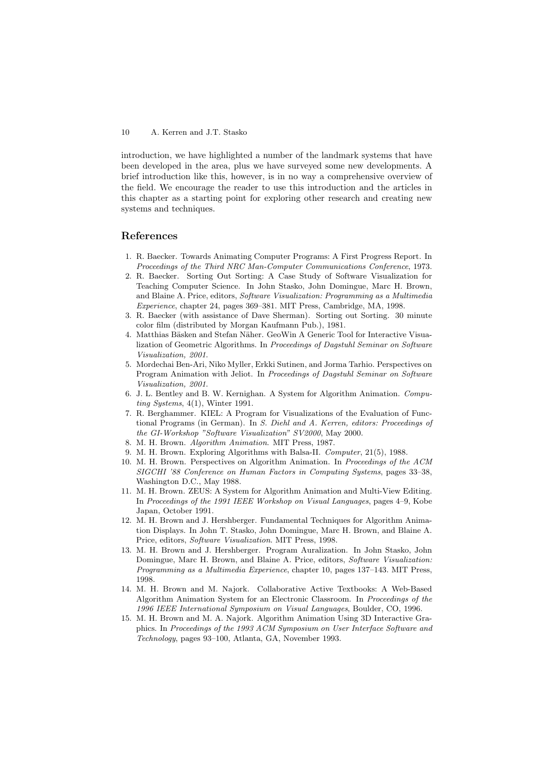<span id="page-9-0"></span>introduction, we have highlighted a number of the landmark systems that have been developed in the area, plus we have surveyed some new developments. A brief introduction like this, however, is in no way a comprehensive overview of the field. We encourage the reader to use this introduction and the articles in this chapter as a starting point for exploring other research and creating new systems and techniques.

## **References**

- 1. R. Baecker. Towards Animating Computer Programs: A First Progress Report. In Proceedings of the Third NRC Man-Computer Communications Conference, 1973.
- 2. R. Baecker. Sorting Out Sorting: A Case Study of Software Visualization for Teaching Computer Science. In John Stasko, John Domingue, Marc H. Brown, and Blaine A. Price, editors, Software Visualization: Programming as a Multimedia Experience, chapter 24, pages 369–381. MIT Press, Cambridge, MA, 1998.
- 3. R. Baecker (with assistance of Dave Sherman). Sorting out Sorting. 30 minute color film (distributed by Morgan Kaufmann Pub.), 1981.
- 4. Matthias Bäsken and Stefan Näher. GeoWin A Generic Tool for Interactive Visualization of Geometric Algorithms. In Proceedings of Dagstuhl Seminar on Software Visualization, 2001.
- 5. Mordechai Ben-Ari, Niko Myller, Erkki Sutinen, and Jorma Tarhio. Perspectives on Program Animation with Jeliot. In Proceedings of Dagstuhl Seminar on Software Visualization, 2001.
- 6. J. L. Bentley and B. W. Kernighan. A System for Algorithm Animation. Computing Systems, 4(1), Winter 1991.
- 7. R. Berghammer. KIEL: A Program for Visualizations of the Evaluation of Functional Programs (in German). In S. Diehl and A. Kerren, editors: Proceedings of the GI-Workshop "Software Visualization" SV2000, May 2000.
- 8. M. H. Brown. Algorithm Animation. MIT Press, 1987.
- 9. M. H. Brown. Exploring Algorithms with Balsa-II. Computer, 21(5), 1988.
- 10. M. H. Brown. Perspectives on Algorithm Animation. In Proceedings of the ACM SIGCHI '88 Conference on Human Factors in Computing Systems, pages 33–38, Washington D.C., May 1988.
- 11. M. H. Brown. ZEUS: A System for Algorithm Animation and Multi-View Editing. In Proceedings of the 1991 IEEE Workshop on Visual Languages, pages 4–9, Kobe Japan, October 1991.
- 12. M. H. Brown and J. Hershberger. Fundamental Techniques for Algorithm Animation Displays. In John T. Stasko, John Domingue, Marc H. Brown, and Blaine A. Price, editors, Software Visualization. MIT Press, 1998.
- 13. M. H. Brown and J. Hershberger. Program Auralization. In John Stasko, John Domingue, Marc H. Brown, and Blaine A. Price, editors, Software Visualization: Programming as a Multimedia Experience, chapter 10, pages 137–143. MIT Press, 1998.
- 14. M. H. Brown and M. Najork. Collaborative Active Textbooks: A Web-Based Algorithm Animation System for an Electronic Classroom. In Proceedings of the 1996 IEEE International Symposium on Visual Languages, Boulder, CO, 1996.
- 15. M. H. Brown and M. A. Najork. Algorithm Animation Using 3D Interactive Graphics. In Proceedings of the 1993 ACM Symposium on User Interface Software and Technology, pages 93–100, Atlanta, GA, November 1993.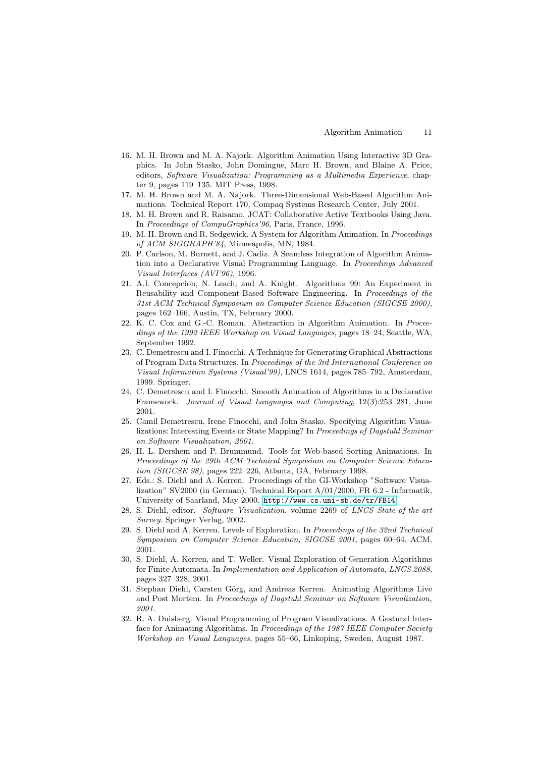- <span id="page-10-0"></span>16. M. H. Brown and M. A. Najork. Algorithm Animation Using Interactive 3DGraphics. In John Stasko, John Domingue, Marc H. Brown, and Blaine A. Price, editors, Software Visualization: Programming as a Multimedia Experience, chapter 9, pages 119–135. MIT Press, 1998.
- 17. M. H. Brown and M. A. Najork. Three-Dimensional Web-Based Algorithm Animations. Technical Report 170, Compaq Systems Research Center, July 2001.
- 18. M. H. Brown and R. Raisamo. JCAT: Collaborative Active Textbooks Using Java. In Proceedings of CompuGraphics'96, Paris, France, 1996.
- 19. M. H. Brown and R. Sedgewick. A System for Algorithm Animation. In Proceedings of ACM SIGGRAPH'84, Minneapolis, MN, 1984.
- 20. P. Carlson, M. Burnett, and J. Cadiz. A Seamless Integration of Algorithm Animation into a Declarative Visual Programming Language. In Proceedings Advanced Visual Interfaces (AVI'96), 1996.
- 21. A.I. Concepcion, N. Leach, and A. Knight. Algorithma 99: An Experiment in Reusability and Component-Based Software Engineering. In Proceedings of the 31st ACM Technical Symposium on Computer Science Education (SIGCSE 2000), pages 162–166, Austin, TX, February 2000.
- 22. K. C. Cox and G.-C. Roman. Abstraction in Algorithm Animation. In Proceedings of the 1992 IEEE Workshop on Visual Languages, pages 18–24, Seattle, WA, September 1992.
- 23. C. Demetrescu and I. Finocchi. A Technique for Generating Graphical Abstractions of Program Data Structures. In Proceedings of the 3rd International Conference on Visual Information Systems (Visual'99), LNCS 1614, pages 785–792, Amsterdam, 1999. Springer.
- 24. C. Demetrescu and I. Finocchi. Smooth Animation of Algorithms in a Declarative Framework. Journal of Visual Languages and Computing, 12(3):253–281, June 2001.
- 25. Camil Demetrescu, Irene Finocchi, and John Stasko. Specifying Algorithm Visualizations: Interesting Events or State Mapping? In Proceedings of Dagstuhl Seminar on Software Visualization, 2001.
- 26. H. L. Dershem and P. Brummund. Tools for Web-based Sorting Animations. In Proceedings of the 29th ACM Technical Symposium on Computer Science Education (SIGCSE 98), pages 222–226, Atlanta, GA, February 1998.
- 27. Eds.: S. Diehl and A. Kerren. Proceedings of the GI-Workshop "Software Visualization" SV2000 (in German). Technical Report A/01/2000, FR 6.2 - Informatik, University of Saarland, May 2000. <http://www.cs.uni-sb.de/tr/FB14>.
- 28. S. Diehl, editor. Software Visualization, volume 2269 of LNCS State-of-the-art Survey. Springer Verlag, 2002.
- 29. S. Diehl and A. Kerren. Levels of Exploration. In Proceedings of the 32nd Technical Symposium on Computer Science Education, SIGCSE 2001, pages 60–64. ACM, 2001.
- 30. S. Diehl, A. Kerren, and T. Weller. Visual Exploration of Generation Algorithms for Finite Automata. In Implementation and Application of Automata, LNCS 2088, pages 327–328, 2001.
- 31. Stephan Diehl, Carsten Görg, and Andreas Kerren. Animating Algorithms Live and Post Mortem. In Proceedings of Dagstuhl Seminar on Software Visualization, 2001.
- 32. R. A. Duisberg. Visual Programming of Program Visualizations. A Gestural Interface for Animating Algorithms. In Proceedings of the 1987 IEEE Computer Society Workshop on Visual Languages, pages 55–66, Linkoping, Sweden, August 1987.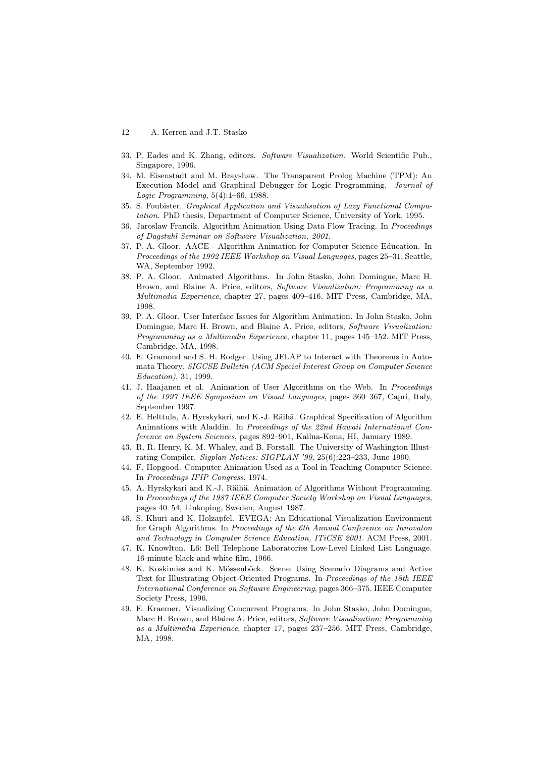- <span id="page-11-0"></span>33. P. Eades and K. Zhang, editors. Software Visualization. World Scientific Pub., Singapore, 1996.
- 34. M. Eisenstadt and M. Brayshaw. The Transparent Prolog Machine (TPM): An Execution Model and Graphical Debugger for Logic Programming. Journal of Logic Programming, 5(4):1–66, 1988.
- 35. S. Foubister. Graphical Application and Visualisation of Lazy Functional Computation. PhD thesis, Department of Computer Science, University of York, 1995.
- 36. Jaroslaw Francik. Algorithm Animation Using Data Flow Tracing. In Proceedings of Dagstuhl Seminar on Software Visualization, 2001.
- 37. P. A. Gloor. AACE Algorithm Animation for Computer Science Education. In Proceedings of the 1992 IEEE Workshop on Visual Languages, pages 25–31, Seattle, WA, September 1992.
- 38. P. A. Gloor. Animated Algorithms. In John Stasko, John Domingue, Marc H. Brown, and Blaine A. Price, editors, Software Visualization: Programming as a Multimedia Experience, chapter 27, pages 409–416. MIT Press, Cambridge, MA, 1998.
- 39. P. A. Gloor. User Interface Issues for Algorithm Animation. In John Stasko, John Domingue, Marc H. Brown, and Blaine A. Price, editors, Software Visualization: Programming as a Multimedia Experience, chapter 11, pages 145–152. MIT Press, Cambridge, MA, 1998.
- 40. E. Gramond and S. H. Rodger. Using JFLAP to Interact with Theorems in Automata Theory. SIGCSE Bulletin (ACM Special Interest Group on Computer Science Education), 31, 1999.
- 41. J. Haajanen et al. Animation of User Algorithms on the Web. In Proceedings of the 1997 IEEE Symposium on Visual Languages, pages 360–367, Capri, Italy, September 1997.
- 42. E. Helttula, A. Hyrskykari, and K.-J. Räihä. Graphical Specification of Algorithm Animations with Aladdin. In Proceedings of the 22nd Hawaii International Conference on System Sciences, pages 892–901, Kailua-Kona, HI, January 1989.
- 43. R. R. Henry, K. M. Whaley, and B. Forstall. The University of Washington Illustrating Compiler. Sigplan Notices: SIGPLAN '90, 25(6):223–233, June 1990.
- 44. F. Hopgood. Computer Animation Used as a Tool in Teaching Computer Science. In Proceedings IFIP Congress, 1974.
- 45. A. Hyrskykari and K.-J. Räihä. Animation of Algorithms Without Programming. In Proceedings of the 1987 IEEE Computer Society Workshop on Visual Languages, pages 40–54, Linkoping, Sweden, August 1987.
- 46. S. Khuri and K. Holzapfel. EVEGA: An Educational Visualization Environment for Graph Algorithms. In Proceedings of the 6th Annual Conference on Innovaton and Technology in Computer Science Education, ITiCSE 2001. ACM Press, 2001.
- 47. K. Knowlton. L6: Bell Telephone Laboratories Low-Level Linked List Language. 16-minute black-and-white film, 1966.
- 48. K. Koskimies and K. Mössenböck. Scene: Using Scenario Diagrams and Active Text for Illustrating Object-Oriented Programs. In Proceedings of the 18th IEEE International Conference on Software Engineering, pages 366–375. IEEE Computer Society Press, 1996.
- 49. E. Kraemer. Visualizing Concurrent Programs. In John Stasko, John Domingue, Marc H. Brown, and Blaine A. Price, editors, Software Visualization: Programming as a Multimedia Experience, chapter 17, pages 237–256. MIT Press, Cambridge, MA, 1998.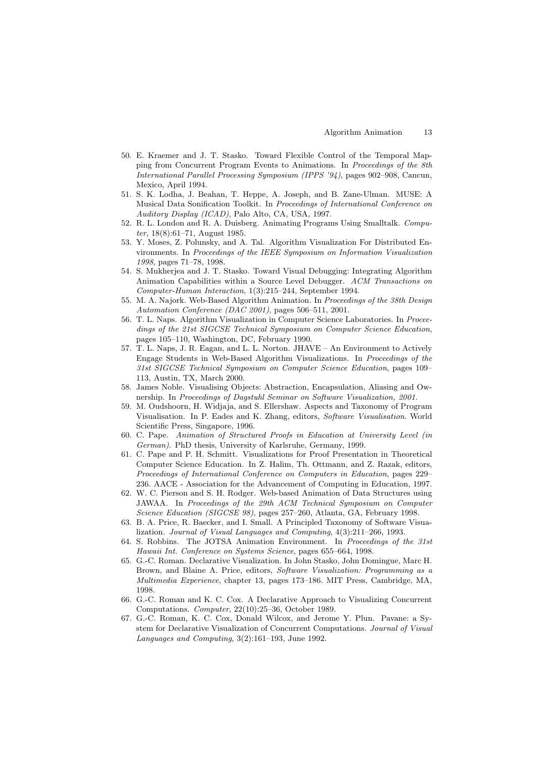- <span id="page-12-0"></span>50. E. Kraemer and J. T. Stasko. Toward Flexible Control of the Temporal Mapping from Concurrent Program Events to Animations. In Proceedings of the 8th International Parallel Processing Symposium (IPPS '94), pages 902–908, Cancun, Mexico, April 1994.
- 51. S. K. Lodha, J. Beahan, T. Heppe, A. Joseph, and B. Zane-Ulman. MUSE: A Musical Data Sonification Toolkit. In Proceedings of International Conference on Auditory Display (ICAD), Palo Alto, CA, USA, 1997.
- 52. R. L. London and R. A. Duisberg. Animating Programs Using Smalltalk. Computer, 18(8):61–71, August 1985.
- 53. Y. Moses, Z. Polunsky, and A. Tal. Algorithm Visualization For Distributed Environments. In Proceedings of the IEEE Symposium on Information Visualization 1998, pages 71–78, 1998.
- 54. S. Mukherjea and J. T. Stasko. Toward Visual Debugging: Integrating Algorithm Animation Capabilities within a Source Level Debugger. ACM Transactions on Computer-Human Interaction, 1(3):215–244, September 1994.
- 55. M. A. Najork. Web-Based Algorithm Animation. In Proceedings of the 38th Design Automation Conference (DAC 2001), pages 506–511, 2001.
- 56. T. L. Naps. Algorithm Visualization in Computer Science Laboratories. In Proceedings of the 21st SIGCSE Technical Symposium on Computer Science Education, pages 105–110, Washington, DC, February 1990.
- 57. T. L. Naps, J. R. Eagan, and L. L. Norton. JHAVE An Environment to Actively Engage Students in Web-Based Algorithm Visualizations. In Proceedings of the 31st SIGCSE Technical Symposium on Computer Science Education, pages 109– 113, Austin, TX, March 2000.
- 58. James Noble. Visualising Objects: Abstraction, Encapsulation, Aliasing and Ownership. In Proceedings of Dagstuhl Seminar on Software Visualization, 2001.
- 59. M. Oudshoorn, H. Widjaja, and S. Ellershaw. Aspects and Taxonomy of Program Visualisation. In P. Eades and K. Zhang, editors, Software Visualisation. World Scientific Press, Singapore, 1996.
- 60. C. Pape. Animation of Structured Proofs in Education at University Level (in German). PhD thesis, University of Karlsruhe, Germany, 1999.
- 61. C. Pape and P. H. Schmitt. Visualizations for Proof Presentation in Theoretical Computer Science Education. In Z. Halim, Th. Ottmann, and Z. Razak, editors, Proceedings of International Conference on Computers in Education, pages 229– 236. AACE - Association for the Advancement of Computing in Education, 1997.
- 62. W. C. Pierson and S. H. Rodger. Web-based Animation of Data Structures using JAWAA. In Proceedings of the 29th ACM Technical Symposium on Computer Science Education (SIGCSE 98), pages 257–260, Atlanta, GA, February 1998.
- 63. B. A. Price, R. Baecker, and I. Small. A Principled Taxonomy of Software Visualization. Journal of Visual Languages and Computing, 4(3):211–266, 1993.
- 64. S. Robbins. The JOTSA Animation Environment. In Proceedings of the 31st Hawaii Int. Conference on Systems Science, pages 655–664, 1998.
- 65. G.-C. Roman. Declarative Visualization. In John Stasko, John Domingue, Marc H. Brown, and Blaine A. Price, editors, Software Visualization: Programming as a Multimedia Experience, chapter 13, pages 173–186. MIT Press, Cambridge, MA, 1998.
- 66. G.-C. Roman and K. C. Cox. A Declarative Approach to Visualizing Concurrent Computations. Computer, 22(10):25–36, October 1989.
- 67. G.-C. Roman, K. C. Cox, Donald Wilcox, and Jerome Y. Plun. Pavane: a System for Declarative Visualization of Concurrent Computations. Journal of Visual Languages and Computing, 3(2):161–193, June 1992.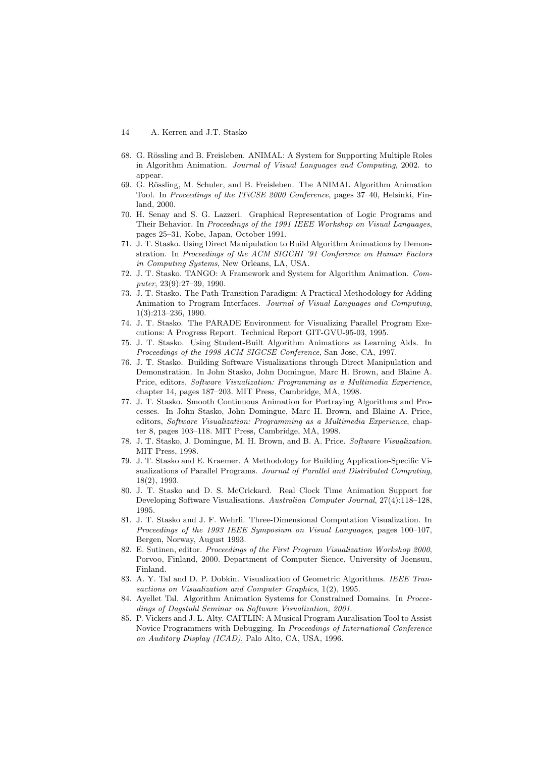- <span id="page-13-0"></span>68. G. Rössling and B. Freisleben. ANIMAL: A System for Supporting Multiple Roles in Algorithm Animation. Journal of Visual Languages and Computing, 2002. to appear.
- 69. G. Rössling, M. Schuler, and B. Freisleben. The ANIMAL Algorithm Animation Tool. In Proceedings of the ITiCSE 2000 Conference, pages 37–40, Helsinki, Finland, 2000.
- 70. H. Senay and S. G. Lazzeri. Graphical Representation of Logic Programs and Their Behavior. In Proceedings of the 1991 IEEE Workshop on Visual Languages, pages 25–31, Kobe, Japan, October 1991.
- 71. J. T. Stasko. Using Direct Manipulation to Build Algorithm Animations by Demonstration. In Proceedings of the ACM SIGCHI '91 Conference on Human Factors in Computing Systems, New Orleans, LA, USA.
- 72. J. T. Stasko. TANGO: A Framework and System for Algorithm Animation. Computer, 23(9):27–39, 1990.
- 73. J. T. Stasko. The Path-Transition Paradigm: A Practical Methodology for Adding Animation to Program Interfaces. Journal of Visual Languages and Computing, 1(3):213–236, 1990.
- 74. J. T. Stasko. The PARADE Environment for Visualizing Parallel Program Executions: A Progress Report. Technical Report GIT-GVU-95-03, 1995.
- 75. J. T. Stasko. Using Student-Built Algorithm Animations as Learning Aids. In Proceedings of the 1998 ACM SIGCSE Conference, San Jose, CA, 1997.
- 76. J. T. Stasko. Building Software Visualizations through Direct Manipulation and Demonstration. In John Stasko, John Domingue, Marc H. Brown, and Blaine A. Price, editors, Software Visualization: Programming as a Multimedia Experience, chapter 14, pages 187–203. MIT Press, Cambridge, MA, 1998.
- 77. J. T. Stasko. Smooth Continuous Animation for Portraying Algorithms and Processes. In John Stasko, John Domingue, Marc H. Brown, and Blaine A. Price, editors, Software Visualization: Programming as a Multimedia Experience, chapter 8, pages 103–118. MIT Press, Cambridge, MA, 1998.
- 78. J. T. Stasko, J. Domingue, M. H. Brown, and B. A. Price. Software Visualization. MIT Press, 1998.
- 79. J. T. Stasko and E. Kraemer. A Methodology for Building Application-Specific Visualizations of Parallel Programs. Journal of Parallel and Distributed Computing, 18(2), 1993.
- 80. J. T. Stasko and D. S. McCrickard. Real Clock Time Animation Support for Developing Software Visualisations. Australian Computer Journal, 27(4):118–128, 1995.
- 81. J. T. Stasko and J. F. Wehrli. Three-Dimensional Computation Visualization. In Proceedings of the 1993 IEEE Symposium on Visual Languages, pages 100–107, Bergen, Norway, August 1993.
- 82. E. Sutinen, editor. Proceedings of the First Program Visualization Workshop 2000, Porvoo, Finland, 2000. Department of Computer Sience, University of Joensuu, Finland.
- 83. A. Y. Tal and D. P. Dobkin. Visualization of Geometric Algorithms. IEEE Transactions on Visualization and Computer Graphics, 1(2), 1995.
- 84. Ayellet Tal. Algorithm Animation Systems for Constrained Domains. In Proceedings of Dagstuhl Seminar on Software Visualization, 2001.
- 85. P. Vickers and J. L. Alty. CAITLIN: A Musical Program Auralisation Tool to Assist Novice Programmers with Debugging. In Proceedings of International Conference on Auditory Display (ICAD), Palo Alto, CA, USA, 1996.